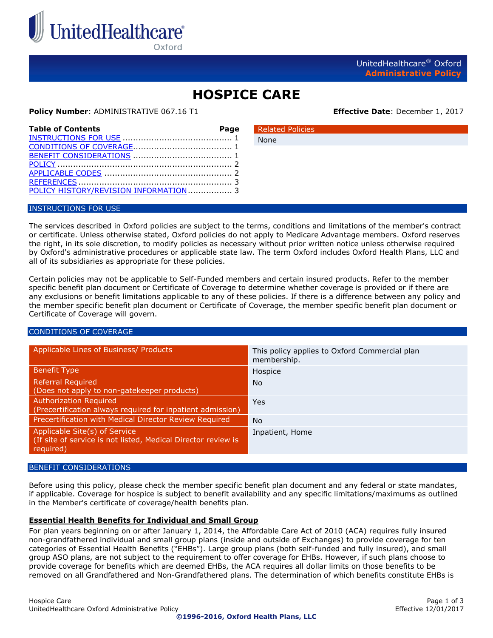

Oxford

## **HOSPICE CARE**

None

#### **Policy Number**: ADMINISTRATIVE 067.16 T1 **Effective Date**: December 1, 2017

| <b>Table of Contents</b>               | Page |
|----------------------------------------|------|
|                                        |      |
|                                        |      |
|                                        |      |
|                                        |      |
|                                        |      |
|                                        |      |
| POLICY HISTORY/REVISION INFORMATION  3 |      |

# Related Policies

#### <span id="page-0-0"></span>INSTRUCTIONS FOR USE

The services described in Oxford policies are subject to the terms, conditions and limitations of the member's contract or certificate. Unless otherwise stated, Oxford policies do not apply to Medicare Advantage members. Oxford reserves the right, in its sole discretion, to modify policies as necessary without prior written notice unless otherwise required by Oxford's administrative procedures or applicable state law. The term Oxford includes Oxford Health Plans, LLC and all of its subsidiaries as appropriate for these policies.

Certain policies may not be applicable to Self-Funded members and certain insured products. Refer to the member specific benefit plan document or Certificate of Coverage to determine whether coverage is provided or if there are any exclusions or benefit limitations applicable to any of these policies. If there is a difference between any policy and the member specific benefit plan document or Certificate of Coverage, the member specific benefit plan document or Certificate of Coverage will govern.

#### <span id="page-0-1"></span>CONDITIONS OF COVERAGE

| Applicable Lines of Business/ Products                                                                      | This policy applies to Oxford Commercial plan<br>membership. |
|-------------------------------------------------------------------------------------------------------------|--------------------------------------------------------------|
| <b>Benefit Type</b>                                                                                         | Hospice                                                      |
| <b>Referral Required</b><br>(Does not apply to non-gatekeeper products)                                     | N <sub>o</sub>                                               |
| <b>Authorization Required</b><br>(Precertification always required for inpatient admission)                 | Yes                                                          |
| Precertification with Medical Director Review Required                                                      | N <sub>o</sub>                                               |
| Applicable Site(s) of Service<br>(If site of service is not listed, Medical Director review is<br>required) | Inpatient, Home                                              |

#### <span id="page-0-2"></span>BENEFIT CONSIDERATIONS

Before using this policy, please check the member specific benefit plan document and any federal or state mandates, if applicable. Coverage for hospice is subject to benefit availability and any specific limitations/maximums as outlined in the Member's certificate of coverage/health benefits plan.

#### **Essential Health Benefits for Individual and Small Group**

For plan years beginning on or after January 1, 2014, the Affordable Care Act of 2010 (ACA) requires fully insured non-grandfathered individual and small group plans (inside and outside of Exchanges) to provide coverage for ten categories of Essential Health Benefits ("EHBs"). Large group plans (both self-funded and fully insured), and small group ASO plans, are not subject to the requirement to offer coverage for EHBs. However, if such plans choose to provide coverage for benefits which are deemed EHBs, the ACA requires all dollar limits on those benefits to be removed on all Grandfathered and Non-Grandfathered plans. The determination of which benefits constitute EHBs is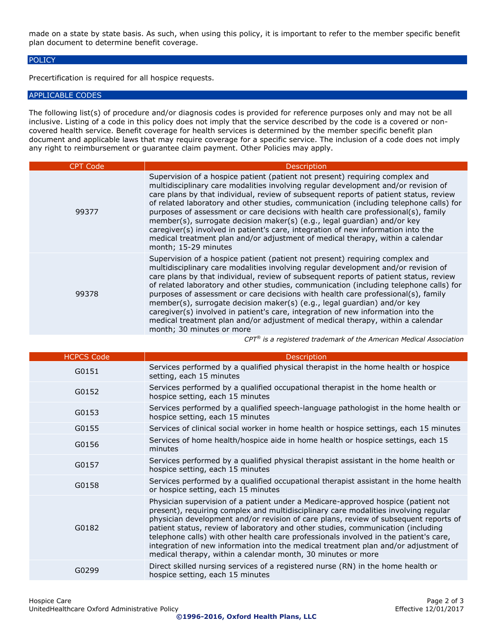made on a state by state basis. As such, when using this policy, it is important to refer to the member specific benefit plan document to determine benefit coverage.

#### <span id="page-1-0"></span>**POLICY**

Precertification is required for all hospice requests.

#### <span id="page-1-1"></span>APPLICABLE CODES

The following list(s) of procedure and/or diagnosis codes is provided for reference purposes only and may not be all inclusive. Listing of a code in this policy does not imply that the service described by the code is a covered or noncovered health service. Benefit coverage for health services is determined by the member specific benefit plan document and applicable laws that may require coverage for a specific service. The inclusion of a code does not imply any right to reimbursement or guarantee claim payment. Other Policies may apply.

| <b>CPT Code</b> | <b>Description</b>                                                                                                                                                                                                                                                                                                                                                                                                                                                                                                                                                                                                                                                                                                        |
|-----------------|---------------------------------------------------------------------------------------------------------------------------------------------------------------------------------------------------------------------------------------------------------------------------------------------------------------------------------------------------------------------------------------------------------------------------------------------------------------------------------------------------------------------------------------------------------------------------------------------------------------------------------------------------------------------------------------------------------------------------|
| 99377           | Supervision of a hospice patient (patient not present) requiring complex and<br>multidisciplinary care modalities involving regular development and/or revision of<br>care plans by that individual, review of subsequent reports of patient status, review<br>of related laboratory and other studies, communication (including telephone calls) for<br>purposes of assessment or care decisions with health care professional(s), family<br>member(s), surrogate decision maker(s) (e.g., legal guardian) and/or key<br>caregiver(s) involved in patient's care, integration of new information into the<br>medical treatment plan and/or adjustment of medical therapy, within a calendar<br>month; 15-29 minutes      |
| 99378           | Supervision of a hospice patient (patient not present) requiring complex and<br>multidisciplinary care modalities involving regular development and/or revision of<br>care plans by that individual, review of subsequent reports of patient status, review<br>of related laboratory and other studies, communication (including telephone calls) for<br>purposes of assessment or care decisions with health care professional(s), family<br>member(s), surrogate decision maker(s) (e.g., legal guardian) and/or key<br>caregiver(s) involved in patient's care, integration of new information into the<br>medical treatment plan and/or adjustment of medical therapy, within a calendar<br>month; 30 minutes or more |

*CPT® is a registered trademark of the American Medical Association*

| <b>HCPCS Code</b> | <b>Description</b>                                                                                                                                                                                                                                                                                                                                                                                                                                                                                                                                                                                   |
|-------------------|------------------------------------------------------------------------------------------------------------------------------------------------------------------------------------------------------------------------------------------------------------------------------------------------------------------------------------------------------------------------------------------------------------------------------------------------------------------------------------------------------------------------------------------------------------------------------------------------------|
| G0151             | Services performed by a qualified physical therapist in the home health or hospice<br>setting, each 15 minutes                                                                                                                                                                                                                                                                                                                                                                                                                                                                                       |
| G0152             | Services performed by a qualified occupational therapist in the home health or<br>hospice setting, each 15 minutes                                                                                                                                                                                                                                                                                                                                                                                                                                                                                   |
| G0153             | Services performed by a qualified speech-language pathologist in the home health or<br>hospice setting, each 15 minutes                                                                                                                                                                                                                                                                                                                                                                                                                                                                              |
| G0155             | Services of clinical social worker in home health or hospice settings, each 15 minutes                                                                                                                                                                                                                                                                                                                                                                                                                                                                                                               |
| G0156             | Services of home health/hospice aide in home health or hospice settings, each 15<br>minutes                                                                                                                                                                                                                                                                                                                                                                                                                                                                                                          |
| G0157             | Services performed by a qualified physical therapist assistant in the home health or<br>hospice setting, each 15 minutes                                                                                                                                                                                                                                                                                                                                                                                                                                                                             |
| G0158             | Services performed by a qualified occupational therapist assistant in the home health<br>or hospice setting, each 15 minutes                                                                                                                                                                                                                                                                                                                                                                                                                                                                         |
| G0182             | Physician supervision of a patient under a Medicare-approved hospice (patient not<br>present), requiring complex and multidisciplinary care modalities involving regular<br>physician development and/or revision of care plans, review of subsequent reports of<br>patient status, review of laboratory and other studies, communication (including<br>telephone calls) with other health care professionals involved in the patient's care,<br>integration of new information into the medical treatment plan and/or adjustment of<br>medical therapy, within a calendar month, 30 minutes or more |
| G0299             | Direct skilled nursing services of a registered nurse (RN) in the home health or<br>hospice setting, each 15 minutes                                                                                                                                                                                                                                                                                                                                                                                                                                                                                 |